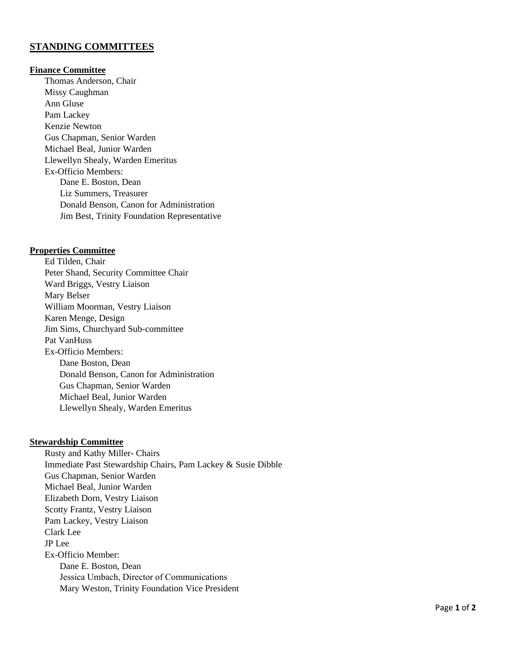# **STANDING COMMITTEES**

# **Finance Committee**

Thomas Anderson, Chair Missy Caughman Ann Gluse Pam Lackey Kenzie Newton Gus Chapman, Senior Warden Michael Beal, Junior Warden Llewellyn Shealy, Warden Emeritus Ex-Officio Members: Dane E. Boston, Dean Liz Summers, Treasurer Donald Benson, Canon for Administration Jim Best, Trinity Foundation Representative

## **Properties Committee**

Ed Tilden, Chair Peter Shand, Security Committee Chair Ward Briggs, Vestry Liaison Mary Belser William Moorman, Vestry Liaison Karen Menge, Design Jim Sims, Churchyard Sub-committee Pat VanHuss Ex-Officio Members: Dane Boston, Dean Donald Benson, Canon for Administration Gus Chapman, Senior Warden Michael Beal, Junior Warden Llewellyn Shealy, Warden Emeritus

## **Stewardship Committee**

Rusty and Kathy Miller- Chairs Immediate Past Stewardship Chairs, Pam Lackey & Susie Dibble Gus Chapman, Senior Warden Michael Beal, Junior Warden Elizabeth Dorn, Vestry Liaison Scotty Frantz, Vestry Liaison Pam Lackey, Vestry Liaison Clark Lee JP Lee Ex-Officio Member: Dane E. Boston, Dean Jessica Umbach, Director of Communications Mary Weston, Trinity Foundation Vice President